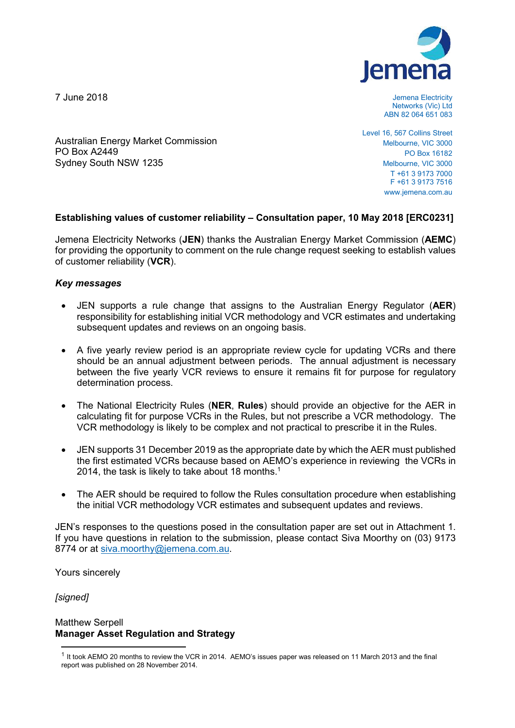7 June 2018

PO Box A2449

Sydney South NSW 1235

Australian Energy Market Commission



Jemena Electricity Networks (Vic) Ltd ABN 82 064 651 083

Level 16, 567 Collins Street Melbourne, VIC 3000 PO Box 16182 Melbourne, VIC 3000 T +61 3 9173 7000 F +61 3 9173 7516 www.jemena.com.au

# **Establishing values of customer reliability – Consultation paper, 10 May 2018 [ERC0231]**

Jemena Electricity Networks (**JEN**) thanks the Australian Energy Market Commission (**AEMC**) for providing the opportunity to comment on the rule change request seeking to establish values of customer reliability (**VCR**).

# *Key messages*

- JEN supports a rule change that assigns to the Australian Energy Regulator (**AER**) responsibility for establishing initial VCR methodology and VCR estimates and undertaking subsequent updates and reviews on an ongoing basis.
- A five yearly review period is an appropriate review cycle for updating VCRs and there should be an annual adjustment between periods. The annual adjustment is necessary between the five yearly VCR reviews to ensure it remains fit for purpose for regulatory determination process.
- The National Electricity Rules (**NER**, **Rules**) should provide an objective for the AER in calculating fit for purpose VCRs in the Rules, but not prescribe a VCR methodology. The VCR methodology is likely to be complex and not practical to prescribe it in the Rules.
- JEN supports 31 December 2019 as the appropriate date by which the AER must published the first estimated VCRs because based on AEMO's experience in reviewing the VCRs in 2014, the task is likely to take about 18 months.<sup>1</sup>
- The AER should be required to follow the Rules consultation procedure when establishing the initial VCR methodology VCR estimates and subsequent updates and reviews.

JEN's responses to the questions posed in the consultation paper are set out in Attachment 1. If you have questions in relation to the submission, please contact Siva Moorthy on (03) 9173 8774 or at siva.moorthy@jemena.com.au.

Yours sincerely

*[signed]* 

-

# Matthew Serpell **Manager Asset Regulation and Strategy**

<sup>1</sup> It took AEMO 20 months to review the VCR in 2014. AEMO's issues paper was released on 11 March 2013 and the final report was published on 28 November 2014.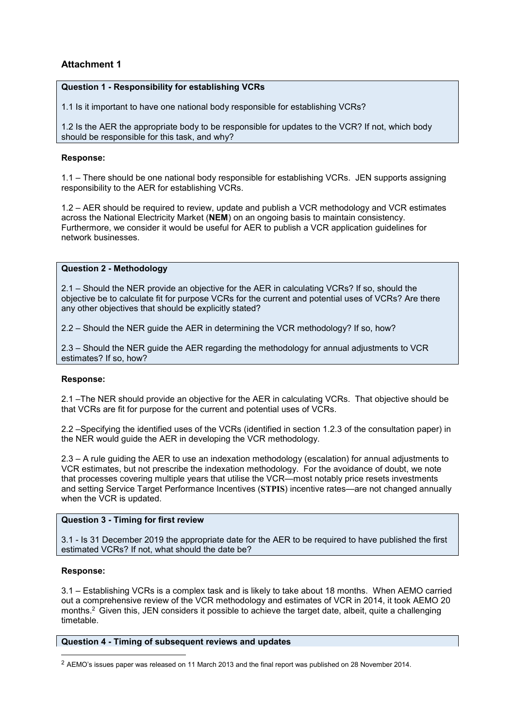# **Attachment 1**

# **Question 1 - Responsibility for establishing VCRs**

1.1 Is it important to have one national body responsible for establishing VCRs?

1.2 Is the AER the appropriate body to be responsible for updates to the VCR? If not, which body should be responsible for this task, and why?

# **Response:**

1.1 – There should be one national body responsible for establishing VCRs. JEN supports assigning responsibility to the AER for establishing VCRs.

1.2 – AER should be required to review, update and publish a VCR methodology and VCR estimates across the National Electricity Market (**NEM**) on an ongoing basis to maintain consistency. Furthermore, we consider it would be useful for AER to publish a VCR application guidelines for network businesses.

# **Question 2 - Methodology**

2.1 – Should the NER provide an objective for the AER in calculating VCRs? If so, should the objective be to calculate fit for purpose VCRs for the current and potential uses of VCRs? Are there any other objectives that should be explicitly stated?

2.2 – Should the NER guide the AER in determining the VCR methodology? If so, how?

2.3 – Should the NER guide the AER regarding the methodology for annual adjustments to VCR estimates? If so, how?

### **Response:**

2.1 –The NER should provide an objective for the AER in calculating VCRs. That objective should be that VCRs are fit for purpose for the current and potential uses of VCRs.

2.2 –Specifying the identified uses of the VCRs (identified in section 1.2.3 of the consultation paper) in the NER would guide the AER in developing the VCR methodology.

2.3 – A rule guiding the AER to use an indexation methodology (escalation) for annual adjustments to VCR estimates, but not prescribe the indexation methodology. For the avoidance of doubt, we note that processes covering multiple years that utilise the VCR—most notably price resets investments and setting Service Target Performance Incentives (**STPIS**) incentive rates—are not changed annually when the VCR is updated.

# **Question 3 - Timing for first review**

3.1 - Is 31 December 2019 the appropriate date for the AER to be required to have published the first estimated VCRs? If not, what should the date be?

### **Response:**

-

3.1 – Establishing VCRs is a complex task and is likely to take about 18 months. When AEMO carried out a comprehensive review of the VCR methodology and estimates of VCR in 2014, it took AEMO 20 months.<sup>2</sup> Given this, JEN considers it possible to achieve the target date, albeit, quite a challenging timetable.

## **Question 4 - Timing of subsequent reviews and updates**

<sup>2</sup> AEMO's issues paper was released on 11 March 2013 and the final report was published on 28 November 2014.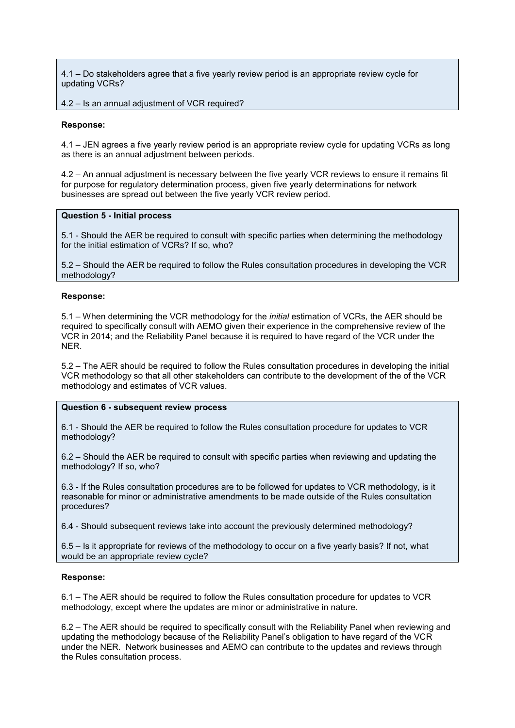4.1 – Do stakeholders agree that a five yearly review period is an appropriate review cycle for updating VCRs?

#### 4.2 – Is an annual adjustment of VCR required?

#### **Response:**

4.1 – JEN agrees a five yearly review period is an appropriate review cycle for updating VCRs as long as there is an annual adjustment between periods.

4.2 – An annual adjustment is necessary between the five yearly VCR reviews to ensure it remains fit for purpose for regulatory determination process, given five yearly determinations for network businesses are spread out between the five yearly VCR review period.

#### **Question 5 - Initial process**

5.1 - Should the AER be required to consult with specific parties when determining the methodology for the initial estimation of VCRs? If so, who?

5.2 – Should the AER be required to follow the Rules consultation procedures in developing the VCR methodology?

#### **Response:**

5.1 – When determining the VCR methodology for the *initial* estimation of VCRs, the AER should be required to specifically consult with AEMO given their experience in the comprehensive review of the VCR in 2014; and the Reliability Panel because it is required to have regard of the VCR under the NER.

5.2 – The AER should be required to follow the Rules consultation procedures in developing the initial VCR methodology so that all other stakeholders can contribute to the development of the of the VCR methodology and estimates of VCR values.

#### **Question 6 - subsequent review process**

6.1 - Should the AER be required to follow the Rules consultation procedure for updates to VCR methodology?

6.2 – Should the AER be required to consult with specific parties when reviewing and updating the methodology? If so, who?

6.3 - If the Rules consultation procedures are to be followed for updates to VCR methodology, is it reasonable for minor or administrative amendments to be made outside of the Rules consultation procedures?

6.4 - Should subsequent reviews take into account the previously determined methodology?

6.5 – Is it appropriate for reviews of the methodology to occur on a five yearly basis? If not, what would be an appropriate review cycle?

#### **Response:**

6.1 – The AER should be required to follow the Rules consultation procedure for updates to VCR methodology, except where the updates are minor or administrative in nature.

6.2 – The AER should be required to specifically consult with the Reliability Panel when reviewing and updating the methodology because of the Reliability Panel's obligation to have regard of the VCR under the NER. Network businesses and AEMO can contribute to the updates and reviews through the Rules consultation process.